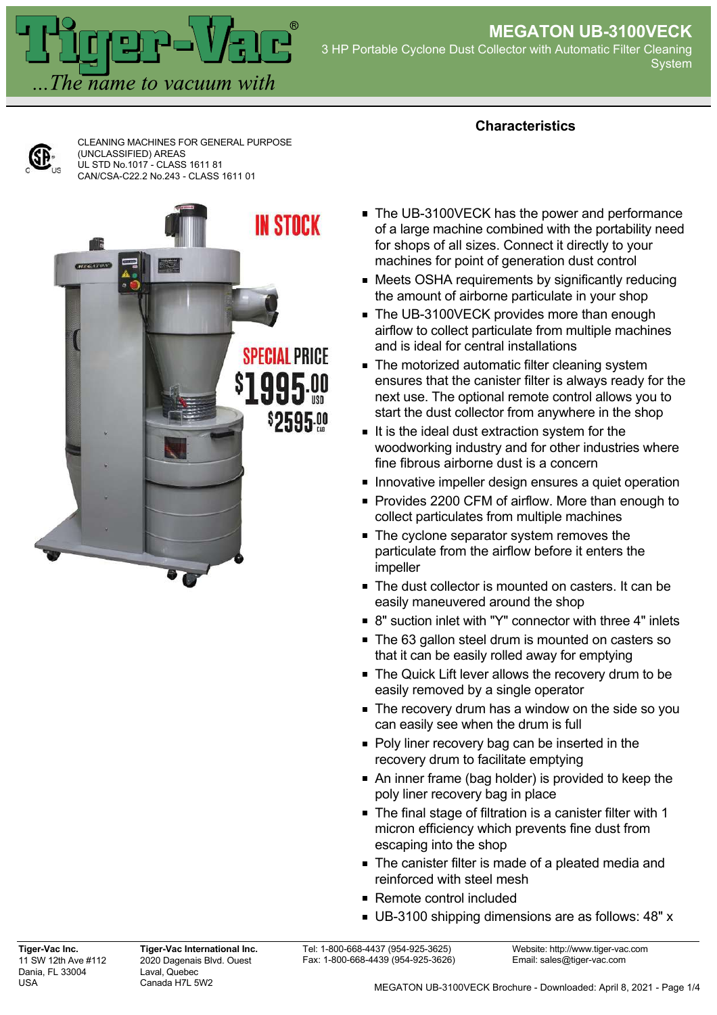

**Characteristics**



CLEANING MACHINES FOR GENERAL PURPOSE (UNCLASSIFIED) AREAS UL STD No.1017 - CLASS 1611 81 CAN/CSA-C22.2 No.243 - CLASS 1611 01



- The UB-3100VECK has the power and performance of a large machine combined with the portability need for shops of all sizes. Connect it directly to your machines for point of generation dust control
- Meets OSHA requirements by significantly reducing the amount of airborne particulate in your shop
- The UB-3100VECK provides more than enough airflow to collect particulate from multiple machines and is ideal for central installations
- **The motorized automatic filter cleaning system** ensures that the canister filter is always ready for the next use. The optional remote control allows you to start the dust collector from anywhere in the shop
- If is the ideal dust extraction system for the woodworking industry and for other industries where fine fibrous airborne dust is a concern
- **Innovative impeller design ensures a quiet operation**
- Provides 2200 CFM of airflow. More than enough to collect particulates from multiple machines
- The cyclone separator system removes the particulate from the airflow before it enters the impeller
- The dust collector is mounted on casters. It can be easily maneuvered around the shop
- 8" suction inlet with "Y" connector with three 4" inlets
- The 63 gallon steel drum is mounted on casters so that it can be easily rolled away for emptying
- The Quick Lift lever allows the recovery drum to be easily removed by a single operator
- The recovery drum has a window on the side so you can easily see when the drum is full
- Poly liner recovery bag can be inserted in the recovery drum to facilitate emptying
- An inner frame (bag holder) is provided to keep the poly liner recovery bag in place
- The final stage of filtration is a canister filter with 1 micron efficiency which prevents fine dust from escaping into the shop
- **The canister filter is made of a pleated media and** reinforced with steel mesh
- Remote control included
- UB-3100 shipping dimensions are as follows: 48" x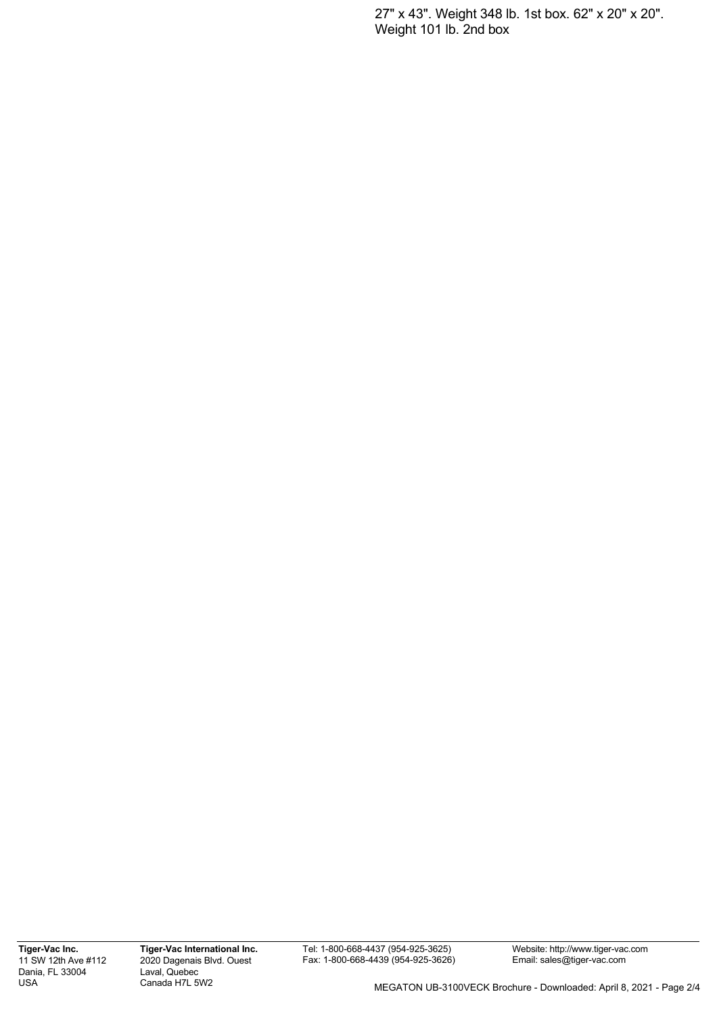27" x 43". Weight 348 lb. 1st box. 62" x 20" x 20". Weight 101 lb. 2nd box

**Tiger-Vac Inc.** 11 SW 12th Ave #112 Dania, FL 33004 USA

**Tiger-Vac International Inc.** 2020 Dagenais Blvd. Ouest Laval, Quebec Canada H7L 5W2

Tel: 1-800-668-4437 (954-925-3625) Fax: 1-800-668-4439 (954-925-3626)

Website: http://www.tiger-vac.com Email: sales@tiger-vac.com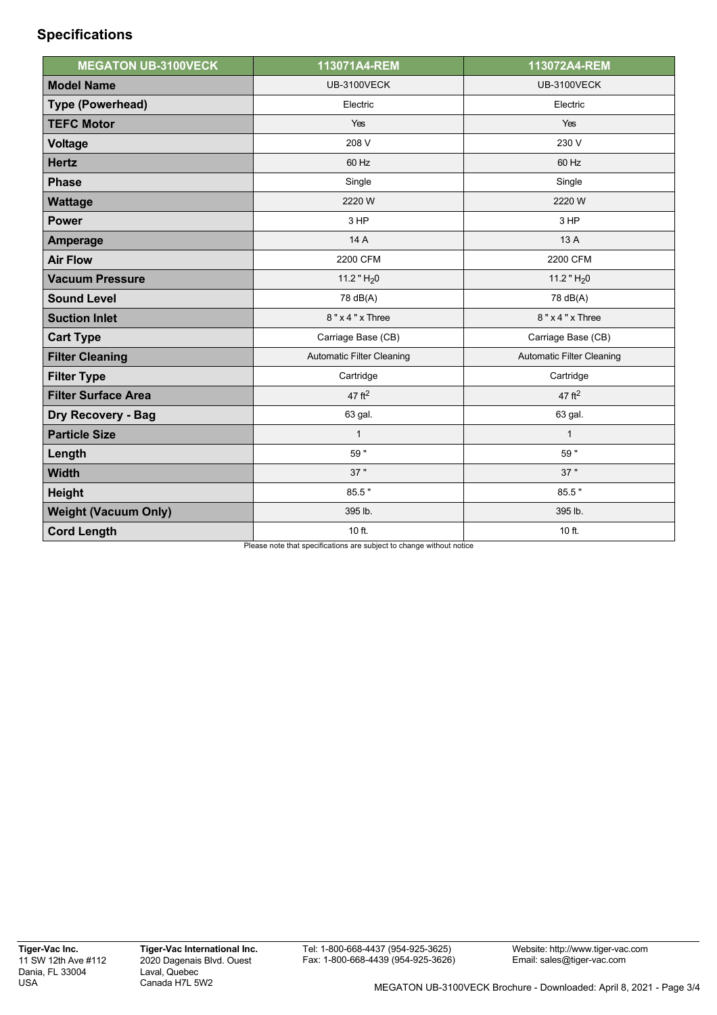## **Specifications**

| <b>MEGATON UB-3100VECK</b>  | 113071A4-REM                     | 113072A4-REM                     |
|-----------------------------|----------------------------------|----------------------------------|
| <b>Model Name</b>           | <b>UB-3100VECK</b>               | <b>UB-3100VECK</b>               |
| <b>Type (Powerhead)</b>     | Electric                         | Electric                         |
| <b>TEFC Motor</b>           | Yes                              | Yes                              |
| <b>Voltage</b>              | 208 V                            | 230 V                            |
| <b>Hertz</b>                | 60 Hz                            | 60 Hz                            |
| <b>Phase</b>                | Single                           | Single                           |
| <b>Wattage</b>              | 2220 W                           | 2220 W                           |
| <b>Power</b>                | 3 HP                             | 3 HP                             |
| <b>Amperage</b>             | 14 A                             | 13 A                             |
| <b>Air Flow</b>             | 2200 CFM                         | 2200 CFM                         |
| <b>Vacuum Pressure</b>      | 11.2 " $H_2$ 0                   | 11.2 " $H_2$ 0                   |
| <b>Sound Level</b>          | 78 dB(A)                         | 78 dB(A)                         |
| <b>Suction Inlet</b>        | $8"x4"x$ Three                   | $8"x4"x$ Three                   |
| <b>Cart Type</b>            | Carriage Base (CB)               | Carriage Base (CB)               |
| <b>Filter Cleaning</b>      | <b>Automatic Filter Cleaning</b> | <b>Automatic Filter Cleaning</b> |
| <b>Filter Type</b>          | Cartridge                        | Cartridge                        |
| <b>Filter Surface Area</b>  | $47 \text{ ft}^2$                | $47$ ft <sup>2</sup>             |
| <b>Dry Recovery - Bag</b>   | 63 gal.                          | 63 gal.                          |
| <b>Particle Size</b>        | $\mathbf{1}$                     | $\mathbf{1}$                     |
| Length                      | 59"                              | 59"                              |
| <b>Width</b>                | 37"                              | 37"                              |
| <b>Height</b>               | 85.5"                            | 85.5"                            |
| <b>Weight (Vacuum Only)</b> | 395 lb.                          | 395 lb.                          |
| <b>Cord Length</b>          | 10 ft.                           | 10 ft.                           |

Please note that specifications are subject to change without notice